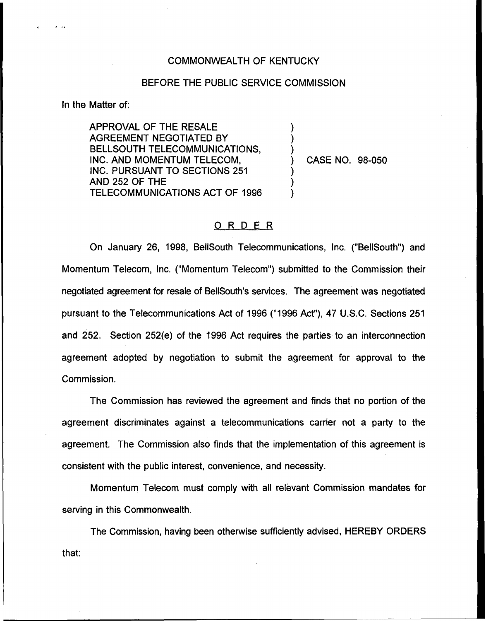## COMMONWEALTH OF KENTUCKY

## BEFORE THE PUBLIC SERVICE COMMISSION

) ) )

) ) )

In the Matter of:

APPROVAL OF THE RESALE AGREEMENT NEGOTIATED BY BELLSOUTH TELECOMMUNICATIONS, INC. AND MOMENTUM TELECOM, INC. PURSUANT TO SECTIONS 251 AND 252 OF THE TELECOMMUNICATIONS ACT OF 1996

) CASE NO. 98-050

## ORDER

On January 26, 1998, BellSouth Telecommunications, Inc. ("BelISouth") and Momentum Telecom, Inc. ("Momentum Telecom") submitted to the Commission their negotiated agreement for resale of BellSouth's services. The agreement was negotiated pursuant to the Telecommunications Act of 1996 ("1996Act"), 47 U.S.C. Sections 251 and 252. Section 252(e) of the 1996 Act requires the parties to an interconnection agreement adopted by negotiation to submit the agreement for approval to the Commission.

The Commission has reviewed the agreement and finds that no portion of the agreement discriminates against a telecommunications carrier not a party to the agreement. The Commission also finds that the implementation of this agreement is consistent with the public interest, convenience, and necessity.

Momentum Telecom must comply with all relevant Commission mandates for serving in this Commonwealth.

The Commission, having been otherwise sufficiently advised, HEREBY ORDERSthat: